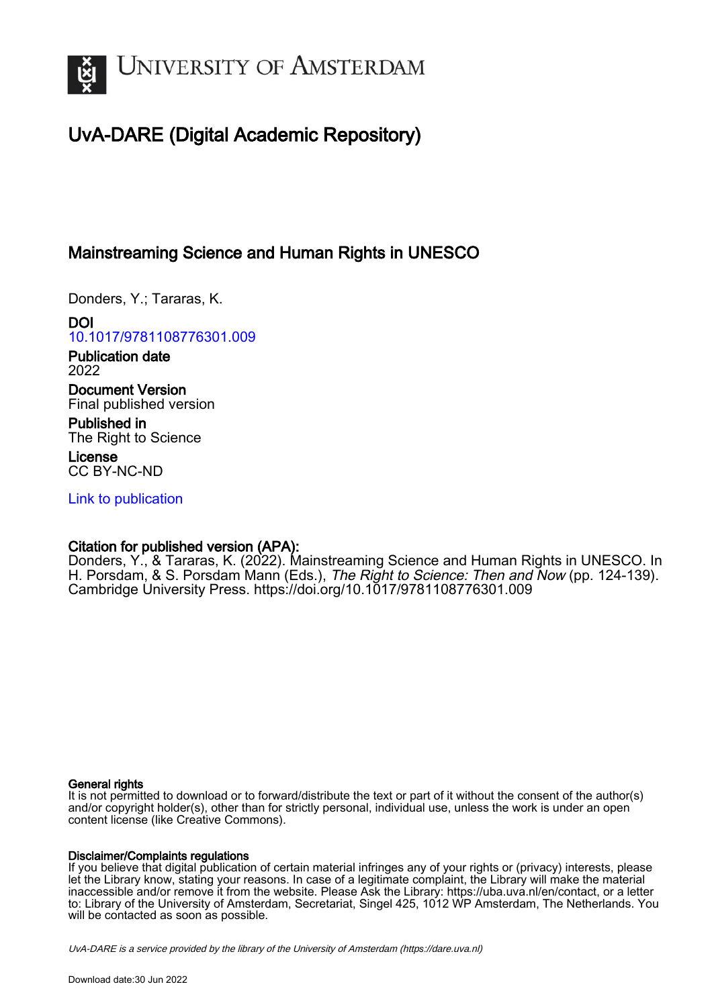

# UvA-DARE (Digital Academic Repository)

## Mainstreaming Science and Human Rights in UNESCO

Donders, Y.; Tararas, K.

DOI [10.1017/9781108776301.009](https://doi.org/10.1017/9781108776301.009)

Publication date 2022

Document Version Final published version

Published in The Right to Science

License CC BY-NC-ND

[Link to publication](https://dare.uva.nl/personal/pure/en/publications/mainstreaming-science-and-human-rights-in-unesco(91fc5ef7-8384-421c-861f-7e75bc396125).html)

### Citation for published version (APA):

Donders, Y., & Tararas, K. (2022). Mainstreaming Science and Human Rights in UNESCO. In H. Porsdam, & S. Porsdam Mann (Eds.), The Right to Science: Then and Now (pp. 124-139). Cambridge University Press.<https://doi.org/10.1017/9781108776301.009>

#### General rights

It is not permitted to download or to forward/distribute the text or part of it without the consent of the author(s) and/or copyright holder(s), other than for strictly personal, individual use, unless the work is under an open content license (like Creative Commons).

#### Disclaimer/Complaints regulations

If you believe that digital publication of certain material infringes any of your rights or (privacy) interests, please let the Library know, stating your reasons. In case of a legitimate complaint, the Library will make the material inaccessible and/or remove it from the website. Please Ask the Library: https://uba.uva.nl/en/contact, or a letter to: Library of the University of Amsterdam, Secretariat, Singel 425, 1012 WP Amsterdam, The Netherlands. You will be contacted as soon as possible.

UvA-DARE is a service provided by the library of the University of Amsterdam (http*s*://dare.uva.nl)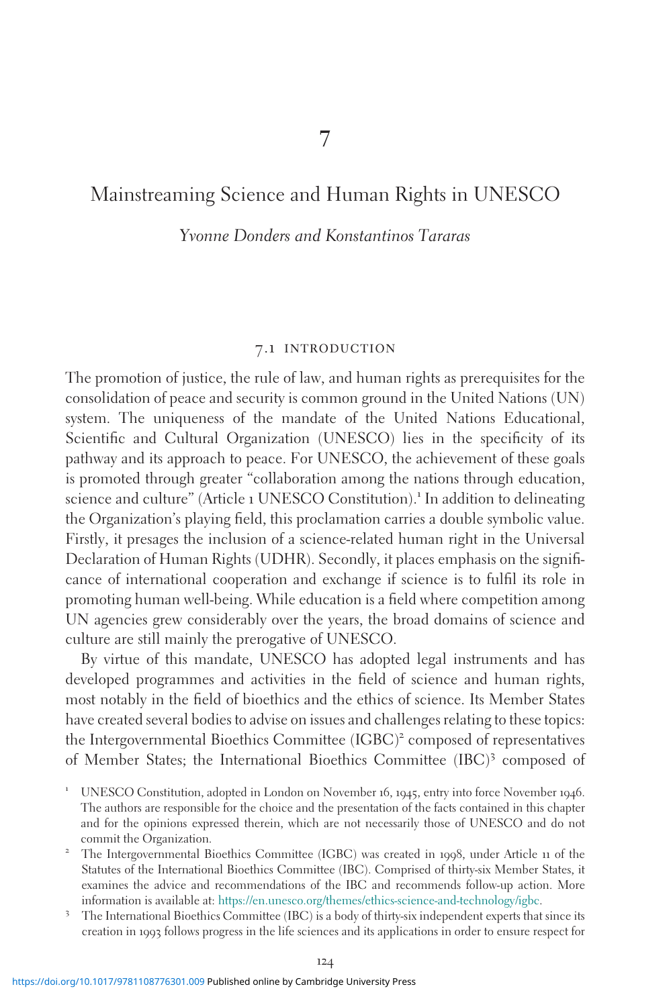## Mainstreaming Science and Human Rights in UNESCO

Yvonne Donders and Konstantinos Tararas

#### 7.1 introduction

The promotion of justice, the rule of law, and human rights as prerequisites for the consolidation of peace and security is common ground in the United Nations (UN) system. The uniqueness of the mandate of the United Nations Educational, Scientific and Cultural Organization (UNESCO) lies in the specificity of its pathway and its approach to peace. For UNESCO, the achievement of these goals is promoted through greater "collaboration among the nations through education, science and culture" (Article 1 UNESCO Constitution).<sup>1</sup> In addition to delineating the Organization's playing field, this proclamation carries a double symbolic value. Firstly, it presages the inclusion of a science-related human right in the Universal Declaration of Human Rights (UDHR). Secondly, it places emphasis on the significance of international cooperation and exchange if science is to fulfil its role in promoting human well-being. While education is a field where competition among UN agencies grew considerably over the years, the broad domains of science and culture are still mainly the prerogative of UNESCO.

By virtue of this mandate, UNESCO has adopted legal instruments and has developed programmes and activities in the field of science and human rights, most notably in the field of bioethics and the ethics of science. Its Member States have created several bodies to advise on issues and challenges relating to these topics: the Intergovernmental Bioethics Committee (IGBC)<sup>2</sup> composed of representatives of Member States; the International Bioethics Committee (IBC)<sup>3</sup> composed of

<sup>1</sup> UNESCO Constitution, adopted in London on November <sup>16</sup>, <sup>1945</sup>, entry into force November <sup>1946</sup>. The authors are responsible for the choice and the presentation of the facts contained in this chapter and for the opinions expressed therein, which are not necessarily those of UNESCO and do not

commit the Organization. <sup>2</sup> The Intergovernmental Bioethics Committee (IGBC) was created in <sup>1998</sup>, under Article <sup>11</sup> of the Statutes of the International Bioethics Committee (IBC). Comprised of thirty-six Member States, it examines the advice and recommendations of the IBC and recommends follow-up action. More

information is available at: [https://en.unesco.org/themes/ethics-science-and-technology/igbc.](https://en.unesco.org/themes/ethics-science-and-technology/igbc) <sup>3</sup> The International Bioethics Committee (IBC) is a body of thirty-six independent experts that since its creation in 1993 follows progress in the life sciences and its applications in order to ensure respect for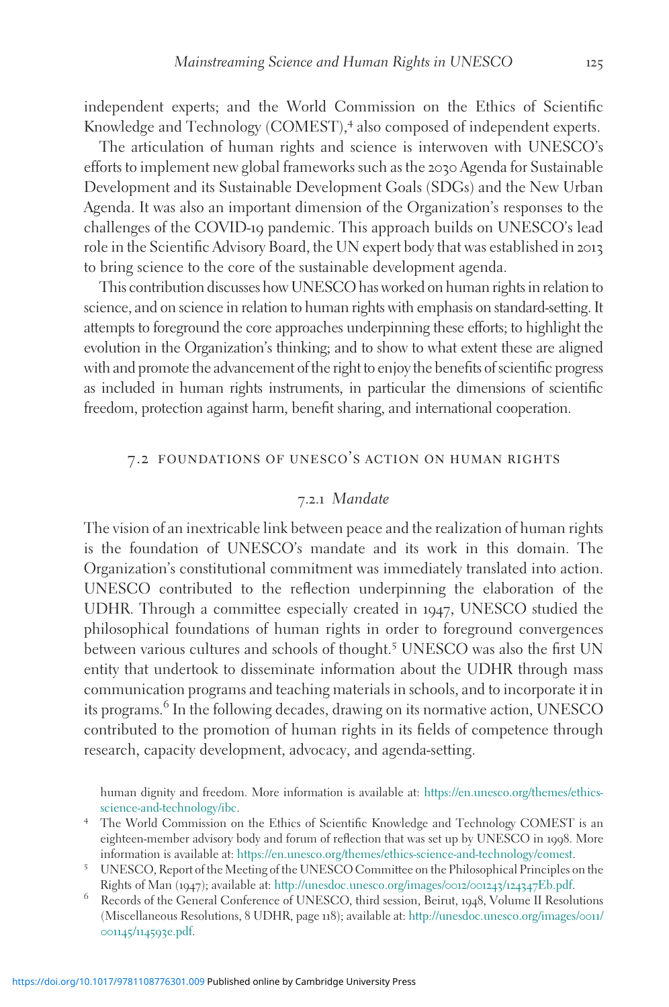independent experts; and the World Commission on the Ethics of Scientific Knowledge and Technology (COMEST),<sup>4</sup> also composed of independent experts.

The articulation of human rights and science is interwoven with UNESCO's efforts to implement new global frameworks such as the 2030 Agenda for Sustainable Development and its Sustainable Development Goals (SDGs) and the New Urban Agenda. It was also an important dimension of the Organization's responses to the challenges of the COVID-19 pandemic. This approach builds on UNESCO's lead role in the Scientific Advisory Board, the UN expert body that was established in 2013 to bring science to the core of the sustainable development agenda.

This contribution discusses how UNESCO has worked on human rights in relation to science, and on science in relation to human rights with emphasis on standard-setting. It attempts to foreground the core approaches underpinning these efforts; to highlight the evolution in the Organization's thinking; and to show to what extent these are aligned with and promote the advancement of the right to enjoy the benefits of scientific progress as included in human rights instruments, in particular the dimensions of scientific freedom, protection against harm, benefit sharing, and international cooperation.

#### 7.2 foundations of unesco's action on human rights

#### 7.2.1 Mandate

The vision of an inextricable link between peace and the realization of human rights is the foundation of UNESCO's mandate and its work in this domain. The Organization's constitutional commitment was immediately translated into action. UNESCO contributed to the reflection underpinning the elaboration of the UDHR. Through a committee especially created in 1947, UNESCO studied the philosophical foundations of human rights in order to foreground convergences between various cultures and schools of thought.<sup>5</sup> UNESCO was also the first UN entity that undertook to disseminate information about the UDHR through mass communication programs and teaching materials in schools, and to incorporate it in its programs.<sup>6</sup> In the following decades, drawing on its normative action, UNESCO contributed to the promotion of human rights in its fields of competence through research, capacity development, advocacy, and agenda-setting.

human dignity and freedom. More information is available at: https://en.unesco.org/themes/ethics-science-and-technology/ibc.

- <sup>4</sup> The World Commission on the Ethics of Scientific Knowledge and Technology COMEST is an eighteen-member advisory body and forum of reflection that was set up by UNESCO in 1998. More information is available at: [https://en.unesco.org/themes/ethics-science-and-technology/comest.](https://en.unesco.org/themes/ethics-science-and-technology/comest) <sup>5</sup> UNESCO, Report of the Meeting of the UNESCO Committee on the Philosophical Principles on the
- Rights of Man (1947); available at: [http://unesdoc.unesco.org/images/](http://unesdoc.unesco.org/images/0012/001243/124347Eb.pdf)0012/001243/124347Eb.pdf. <sup>6</sup> Records of the General Conference of UNESCO, third session, Beirut, <sup>1948</sup>, Volume II Resolutions
- (Miscellaneous Resolutions, 8 UDHR, page 118); available at: [http://unesdoc.unesco.org/images/](http://unesdoc.unesco.org/images/0011/001145/114593e.pdf)0011/ 001145/114593[e.pdf.](http://unesdoc.unesco.org/images/0011/001145/114593e.pdf)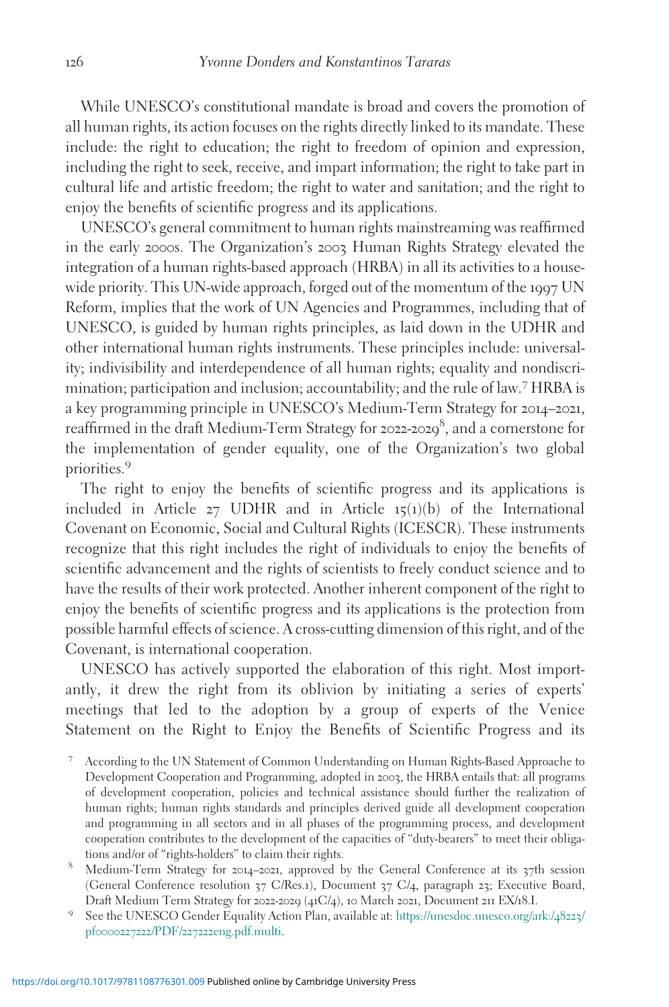While UNESCO's constitutional mandate is broad and covers the promotion of all human rights, its action focuses on the rights directly linked to its mandate. These include: the right to education; the right to freedom of opinion and expression, including the right to seek, receive, and impart information; the right to take part in cultural life and artistic freedom; the right to water and sanitation; and the right to enjoy the benefits of scientific progress and its applications.

UNESCO's general commitment to human rights mainstreaming was reaffirmed in the early 2000s. The Organization's 2003 Human Rights Strategy elevated the integration of a human rights-based approach (HRBA) in all its activities to a housewide priority. This UN-wide approach, forged out of the momentum of the 1997 UN Reform, implies that the work of UN Agencies and Programmes, including that of UNESCO, is guided by human rights principles, as laid down in the UDHR and other international human rights instruments. These principles include: universality; indivisibility and interdependence of all human rights; equality and nondiscrimination; participation and inclusion; accountability; and the rule of law.<sup>7</sup> HRBA is a key programming principle in UNESCO's Medium-Term Strategy for 2014–2021, reaffirmed in the draft Medium-Term Strategy for 2022-2029<sup>8</sup>, and a cornerstone for the implementation of gender equality, one of the Organization's two global priorities.<sup>9</sup>

The right to enjoy the benefits of scientific progress and its applications is included in Article  $27$  UDHR and in Article  $15(1)(b)$  of the International Covenant on Economic, Social and Cultural Rights (ICESCR). These instruments recognize that this right includes the right of individuals to enjoy the benefits of scientific advancement and the rights of scientists to freely conduct science and to have the results of their work protected. Another inherent component of the right to enjoy the benefits of scientific progress and its applications is the protection from possible harmful effects of science. A cross-cutting dimension of this right, and of the Covenant, is international cooperation.

UNESCO has actively supported the elaboration of this right. Most importantly, it drew the right from its oblivion by initiating a series of experts' meetings that led to the adoption by a group of experts of the Venice Statement on the Right to Enjoy the Benefits of Scientific Progress and its

- <sup>7</sup> According to the UN Statement of Common Understanding on Human Rights-Based Approache to Development Cooperation and Programming, adopted in 2003, the HRBA entails that: all programs of development cooperation, policies and technical assistance should further the realization of human rights; human rights standards and principles derived guide all development cooperation and programming in all sectors and in all phases of the programming process, and development cooperation contributes to the development of the capacities of "duty-bearers" to meet their obligations and/or of "rights-holders" to claim their rights.<br><sup>8</sup> Medium-Term Strategy for 2014–2021, approved by the General Conference at its 37th session
- (General Conference resolution 37 C/Res.1), Document 37 C/4, paragraph 23; Executive Board,
- Draft Medium Term Strategy for <sup>2022</sup>-<sup>2029</sup> (41C/4), <sup>10</sup> March <sup>2021</sup>, Document <sup>211</sup> EX/18.I. <sup>9</sup> See the UNESCO Gender Equality Action Plan, available at: [https://unesdoc.unesco.org/ark:/](https://unesdoc.unesco.org/ark:/48223/pf0000227222/PDF/227222eng.pdf.multi)48223/ pf0000227222/PDF/227222[eng.pdf.multi](https://unesdoc.unesco.org/ark:/48223/pf0000227222/PDF/227222eng.pdf.multi).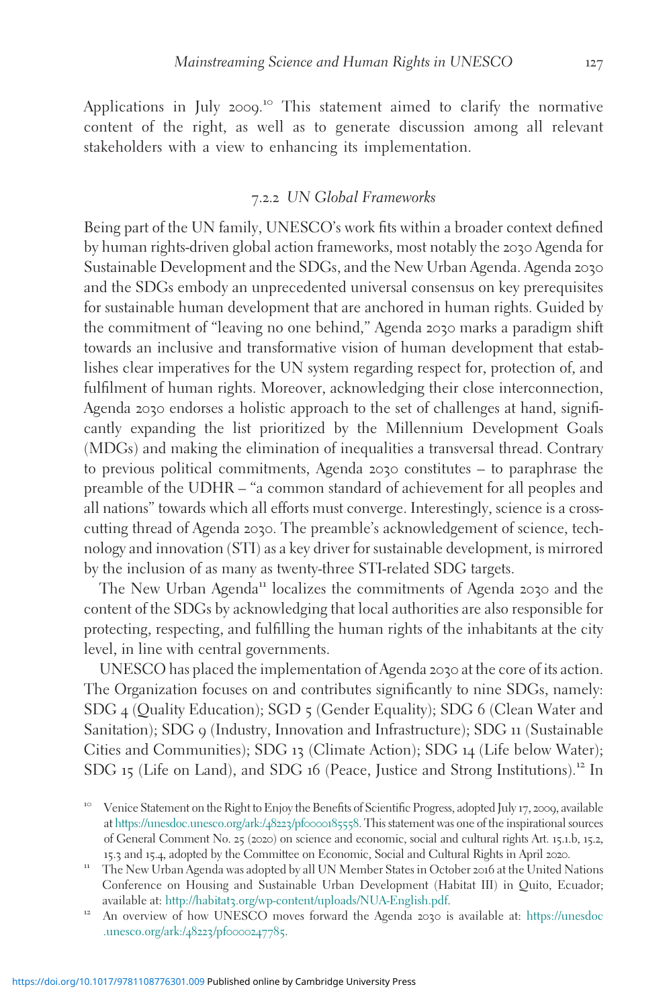Applications in July 2009.<sup>10</sup> This statement aimed to clarify the normative content of the right, as well as to generate discussion among all relevant stakeholders with a view to enhancing its implementation.

#### 7.2.2 UN Global Frameworks

Being part of the UN family, UNESCO's work fits within a broader context defined by human rights-driven global action frameworks, most notably the 2030 Agenda for Sustainable Development and the SDGs, and the New Urban Agenda. Agenda 2030 and the SDGs embody an unprecedented universal consensus on key prerequisites for sustainable human development that are anchored in human rights. Guided by the commitment of "leaving no one behind," Agenda 2030 marks a paradigm shift towards an inclusive and transformative vision of human development that establishes clear imperatives for the UN system regarding respect for, protection of, and fulfilment of human rights. Moreover, acknowledging their close interconnection, Agenda 2030 endorses a holistic approach to the set of challenges at hand, significantly expanding the list prioritized by the Millennium Development Goals (MDGs) and making the elimination of inequalities a transversal thread. Contrary to previous political commitments, Agenda 2030 constitutes – to paraphrase the preamble of the UDHR – "a common standard of achievement for all peoples and all nations" towards which all efforts must converge. Interestingly, science is a crosscutting thread of Agenda 2030. The preamble's acknowledgement of science, technology and innovation (STI) as a key driver for sustainable development, is mirrored by the inclusion of as many as twenty-three STI-related SDG targets.

The New Urban Agenda<sup>11</sup> localizes the commitments of Agenda 2030 and the content of the SDGs by acknowledging that local authorities are also responsible for protecting, respecting, and fulfilling the human rights of the inhabitants at the city level, in line with central governments.

UNESCO has placed the implementation of Agenda 2030 at the core of its action. The Organization focuses on and contributes significantly to nine SDGs, namely: SDG 4 (Quality Education); SGD 5 (Gender Equality); SDG 6 (Clean Water and Sanitation); SDG 9 (Industry, Innovation and Infrastructure); SDG 11 (Sustainable Cities and Communities); SDG 13 (Climate Action); SDG 14 (Life below Water); SDG 15 (Life on Land), and SDG 16 (Peace, Justice and Strong Institutions).<sup>12</sup> In

[.unesco.org/ark:/](https://unesdoc.unesco.org/ark:/48223/pf0000247785)48223/pf0000247785.

<sup>&</sup>lt;sup>10</sup> Venice Statement on the Right to Enjoy the Benefits of Scientific Progress, adopted July 17, 2009, available at [https://unesdoc.unesco.org/ark:/](https://unesdoc.unesco.org/ark:/48223/pf0000185558)48223/pf0000185558. This statement was one of the inspirational sources of General Comment No. 25 (2020) on science and economic, social and cultural rights Art. 15.1.b, 15.2, <sup>15</sup>.<sup>3</sup> and <sup>15</sup>.4, adopted by the Committee on Economic, Social and Cultural Rights in April <sup>2020</sup>. <sup>11</sup> The New Urban Agenda was adopted by all UN Member States in October <sup>2016</sup> at the United Nations

Conference on Housing and Sustainable Urban Development (Habitat III) in Quito, Ecuador; available at: http://habitat3[.org/wp-content/uploads/NUA-English.pdf](http://habitat3.org/wp-content/uploads/NUA-English.pdf). <sup>12</sup> An overview of how UNESCO moves forward the Agenda <sup>2030</sup> is available at: [https://unesdoc](https://unesdoc.unesco.org/ark:/48223/pf0000247785)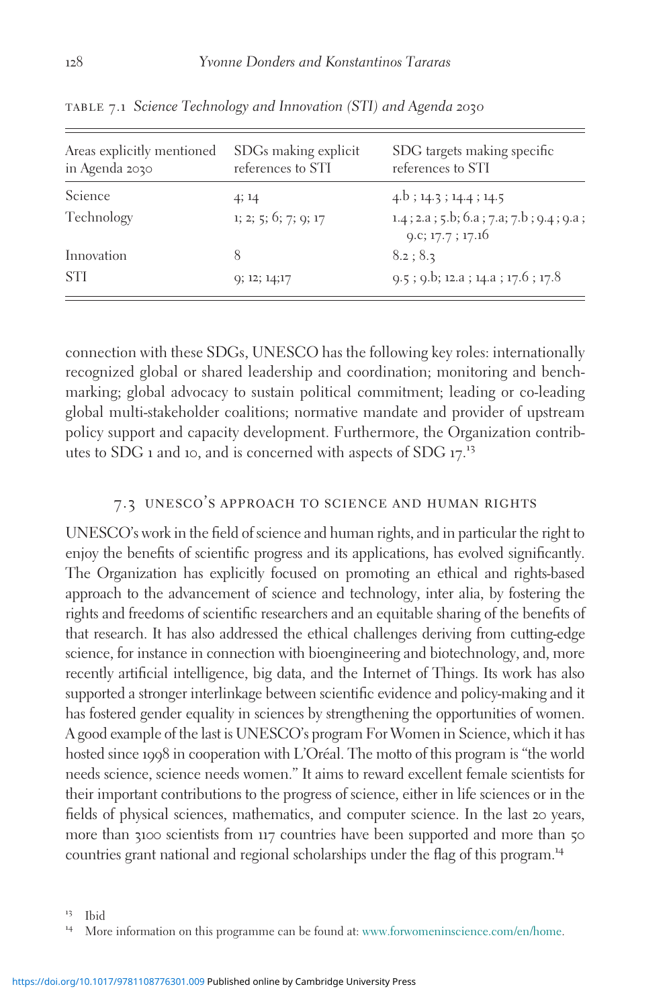| Areas explicitly mentioned<br>in Agenda 2030 | SDGs making explicit<br>references to STI | SDG targets making specific<br>references to STI               |
|----------------------------------------------|-------------------------------------------|----------------------------------------------------------------|
| Science                                      | 4; 14                                     | $4.b$ ; 14.3; 14.4; 14.5                                       |
| Technology                                   | 1; 2; 5; 6; 7; 9; 17                      | $1.4$ ; 2.a; 5.b; 6.a; 7.a; 7.b; 9.4; 9.a;<br>9.c; 17.7; 17.16 |
| Innovation                                   | 8                                         | 8.2; 8.3                                                       |
| <b>STI</b>                                   | 9; 12; 14; 17                             | $9.5$ ; $9.5$ ; 12.a; 14.a; 17.6; 17.8                         |

table 7.1 Science Technology and Innovation (STI) and Agenda 2030

connection with these SDGs, UNESCO has the following key roles: internationally recognized global or shared leadership and coordination; monitoring and benchmarking; global advocacy to sustain political commitment; leading or co-leading global multi-stakeholder coalitions; normative mandate and provider of upstream policy support and capacity development. Furthermore, the Organization contribthes to SDG 1 and 10, and is concerned with aspects of SDG  $17<sup>13</sup>$ 

#### 7.3 unesco's approach to science and human rights

UNESCO's work in the field of science and human rights, and in particular the right to enjoy the benefits of scientific progress and its applications, has evolved significantly. The Organization has explicitly focused on promoting an ethical and rights-based approach to the advancement of science and technology, inter alia, by fostering the rights and freedoms of scientific researchers and an equitable sharing of the benefits of that research. It has also addressed the ethical challenges deriving from cutting-edge science, for instance in connection with bioengineering and biotechnology, and, more recently artificial intelligence, big data, and the Internet of Things. Its work has also supported a stronger interlinkage between scientific evidence and policy-making and it has fostered gender equality in sciences by strengthening the opportunities of women. A good example of the last is UNESCO's program For Women in Science, which it has hosted since 1998 in cooperation with L'Oréal. The motto of this program is "the world needs science, science needs women." It aims to reward excellent female scientists for their important contributions to the progress of science, either in life sciences or in the fields of physical sciences, mathematics, and computer science. In the last 20 years, more than 3100 scientists from 117 countries have been supported and more than 50 countries grant national and regional scholarships under the flag of this program.<sup>14</sup>

<sup>&</sup>lt;sup>13</sup> Ibid<br><sup>14</sup> More information on this programme can be found at: [www.forwomeninscience.com/en/home.](http://www.forwomeninscience.com/en/home)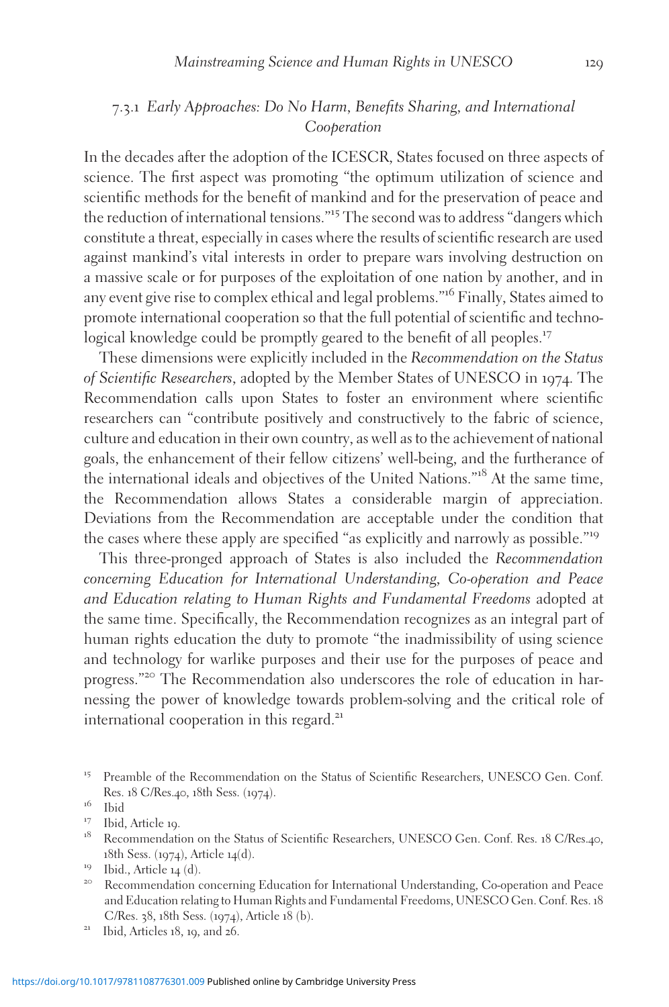#### 7.3.1 Early Approaches: Do No Harm, Benefits Sharing, and International Cooperation

In the decades after the adoption of the ICESCR, States focused on three aspects of science. The first aspect was promoting "the optimum utilization of science and scientific methods for the benefit of mankind and for the preservation of peace and the reduction of international tensions."<sup>15</sup> The second was to address "dangers which constitute a threat, especially in cases where the results of scientific research are used against mankind's vital interests in order to prepare wars involving destruction on a massive scale or for purposes of the exploitation of one nation by another, and in any event give rise to complex ethical and legal problems."<sup>16</sup> Finally, States aimed to promote international cooperation so that the full potential of scientific and technological knowledge could be promptly geared to the benefit of all peoples.<sup>17</sup>

These dimensions were explicitly included in the Recommendation on the Status of Scientific Researchers, adopted by the Member States of UNESCO in 1974. The Recommendation calls upon States to foster an environment where scientific researchers can "contribute positively and constructively to the fabric of science, culture and education in their own country, as well as to the achievement of national goals, the enhancement of their fellow citizens' well-being, and the furtherance of the international ideals and objectives of the United Nations."<sup>18</sup> At the same time, the Recommendation allows States a considerable margin of appreciation. Deviations from the Recommendation are acceptable under the condition that the cases where these apply are specified "as explicitly and narrowly as possible."<sup>19</sup>

This three-pronged approach of States is also included the Recommendation concerning Education for International Understanding, Co-operation and Peace and Education relating to Human Rights and Fundamental Freedoms adopted at the same time. Specifically, the Recommendation recognizes as an integral part of human rights education the duty to promote "the inadmissibility of using science and technology for warlike purposes and their use for the purposes of peace and progress."<sup>20</sup> The Recommendation also underscores the role of education in harnessing the power of knowledge towards problem-solving and the critical role of international cooperation in this regard. $21$ 

<sup>&</sup>lt;sup>15</sup> Preamble of the Recommendation on the Status of Scientific Researchers, UNESCO Gen. Conf. Res. 18 C/Res.40, 18th Sess. (1974).<br><sup>16</sup> Ibid<br><sup>17</sup> Ibid, Article 19.<br><sup>18</sup> Recommendation on the Status of Scientific Researchers, UNESCO Gen. Conf. Res. 18 C/Res.40,

<sup>18</sup>th Sess. (1974), Article 14(d).<br><sup>19</sup> Ibid., Article 14 (d).<br><sup>20</sup> Recommendation concerning Education for International Understanding, Co-operation and Peace

and Education relating to Human Rights and Fundamental Freedoms, UNESCO Gen. Conf. Res. 18 C/Res. <sup>38</sup>, <sup>18</sup>th Sess. (1974), Article <sup>18</sup> (b). <sup>21</sup> Ibid, Articles <sup>18</sup>, <sup>19</sup>, and <sup>26</sup>.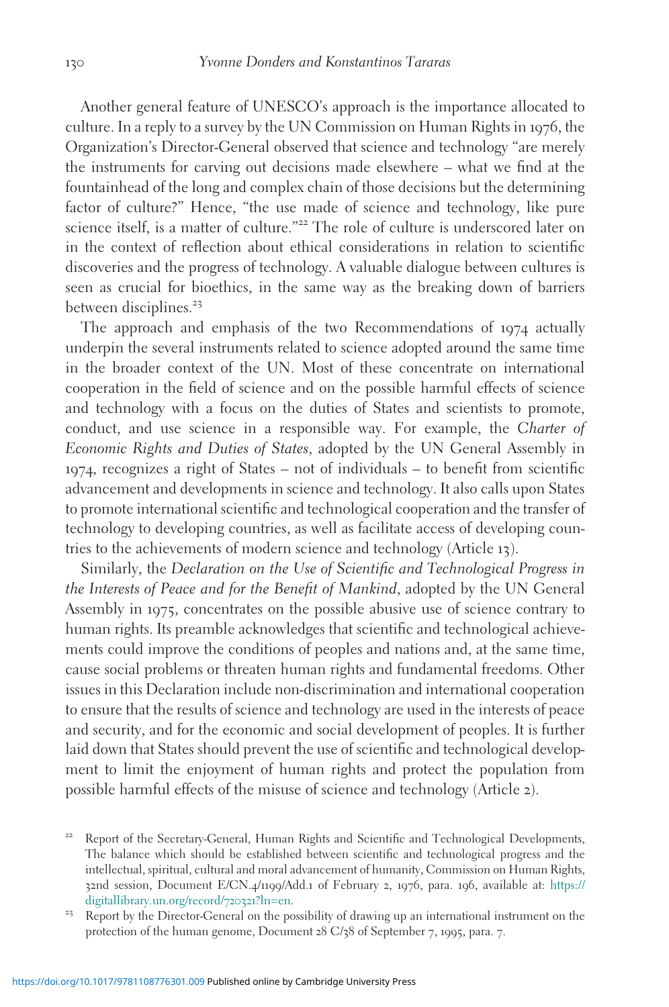Another general feature of UNESCO's approach is the importance allocated to culture. In a reply to a survey by the UN Commission on Human Rights in 1976, the Organization's Director-General observed that science and technology "are merely the instruments for carving out decisions made elsewhere – what we find at the fountainhead of the long and complex chain of those decisions but the determining factor of culture?" Hence, "the use made of science and technology, like pure science itself, is a matter of culture."<sup>22</sup> The role of culture is underscored later on in the context of reflection about ethical considerations in relation to scientific discoveries and the progress of technology. A valuable dialogue between cultures is seen as crucial for bioethics, in the same way as the breaking down of barriers between disciplines.<sup>23</sup>

The approach and emphasis of the two Recommendations of 1974 actually underpin the several instruments related to science adopted around the same time in the broader context of the UN. Most of these concentrate on international cooperation in the field of science and on the possible harmful effects of science and technology with a focus on the duties of States and scientists to promote, conduct, and use science in a responsible way. For example, the Charter of Economic Rights and Duties of States, adopted by the UN General Assembly in 1974, recognizes a right of States – not of individuals – to benefit from scientific advancement and developments in science and technology. It also calls upon States to promote international scientific and technological cooperation and the transfer of technology to developing countries, as well as facilitate access of developing countries to the achievements of modern science and technology (Article 13).

Similarly, the Declaration on the Use of Scientific and Technological Progress in the Interests of Peace and for the Benefit of Mankind, adopted by the UN General Assembly in 1975, concentrates on the possible abusive use of science contrary to human rights. Its preamble acknowledges that scientific and technological achievements could improve the conditions of peoples and nations and, at the same time, cause social problems or threaten human rights and fundamental freedoms. Other issues in this Declaration include non-discrimination and international cooperation to ensure that the results of science and technology are used in the interests of peace and security, and for the economic and social development of peoples. It is further laid down that States should prevent the use of scientific and technological development to limit the enjoyment of human rights and protect the population from possible harmful effects of the misuse of science and technology (Article 2).

<sup>22</sup> Report of the Secretary-General, Human Rights and Scientific and Technological Developments, The balance which should be established between scientific and technological progress and the intellectual, spiritual, cultural and moral advancement of humanity, Commission on Human Rights, 32nd session, Document E/CN.4/1199/Add.1 of February 2, 1976, para. 196, available at: [https://](https://digitallibrary.un.org/record/720321?ln=en) [digitallibrary.un.org/record/](https://digitallibrary.un.org/record/720321?ln=en)720321?ln=en.<br><sup>23</sup> Report by the Director-General on the possibility of drawing up an international instrument on the

protection of the human genome, Document 28 C/38 of September 7, 1995, para. 7.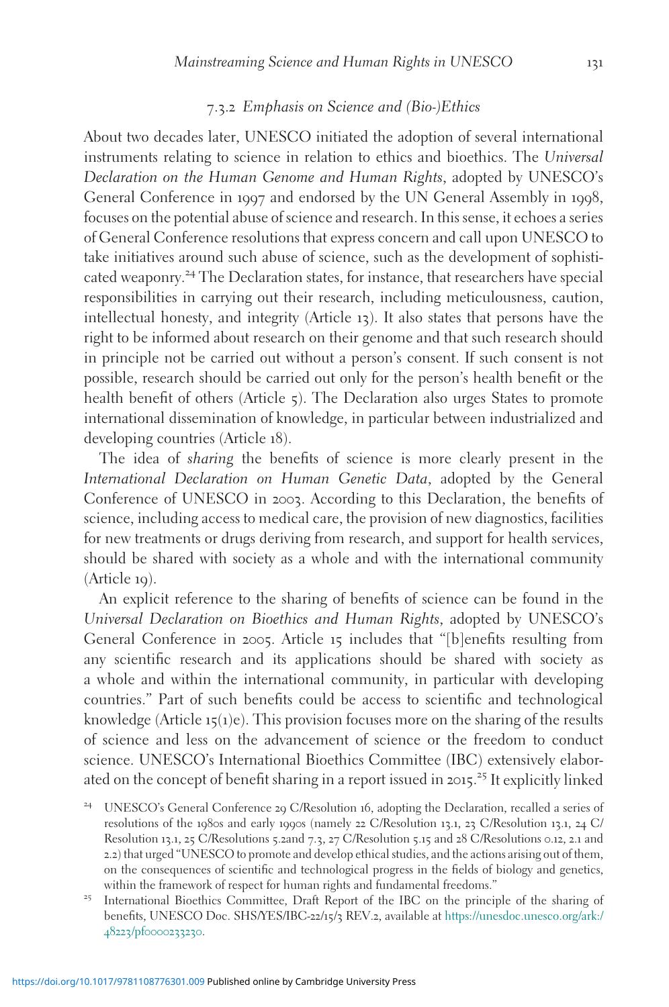#### 7.3.2 Emphasis on Science and (Bio-)Ethics

About two decades later, UNESCO initiated the adoption of several international instruments relating to science in relation to ethics and bioethics. The Universal Declaration on the Human Genome and Human Rights, adopted by UNESCO's General Conference in 1997 and endorsed by the UN General Assembly in 1998, focuses on the potential abuse of science and research. In this sense, it echoes a series of General Conference resolutions that express concern and call upon UNESCO to take initiatives around such abuse of science, such as the development of sophisticated weaponry.<sup>24</sup> The Declaration states, for instance, that researchers have special responsibilities in carrying out their research, including meticulousness, caution, intellectual honesty, and integrity (Article 13). It also states that persons have the right to be informed about research on their genome and that such research should in principle not be carried out without a person's consent. If such consent is not possible, research should be carried out only for the person's health benefit or the health benefit of others (Article 5). The Declaration also urges States to promote international dissemination of knowledge, in particular between industrialized and developing countries (Article 18).

The idea of sharing the benefits of science is more clearly present in the International Declaration on Human Genetic Data, adopted by the General Conference of UNESCO in 2003. According to this Declaration, the benefits of science, including access to medical care, the provision of new diagnostics, facilities for new treatments or drugs deriving from research, and support for health services, should be shared with society as a whole and with the international community (Article 19).

An explicit reference to the sharing of benefits of science can be found in the Universal Declaration on Bioethics and Human Rights, adopted by UNESCO's General Conference in 2005. Article 15 includes that "[b]enefits resulting from any scientific research and its applications should be shared with society as a whole and within the international community, in particular with developing countries." Part of such benefits could be access to scientific and technological knowledge (Article  $15(1)e$ ). This provision focuses more on the sharing of the results of science and less on the advancement of science or the freedom to conduct science. UNESCO's International Bioethics Committee (IBC) extensively elaborated on the concept of benefit sharing in a report issued in 2015. <sup>25</sup> It explicitly linked

- <sup>24</sup> UNESCO's General Conference 29 C/Resolution 16, adopting the Declaration, recalled a series of resolutions of the 1980s and early 1990s (namely 22 C/Resolution 13.1, 23 C/Resolution 13.1, 24 C/ Resolution 13.1, 25 C/Resolutions 5.2and 7.3, 27 C/Resolution 5.15 and 28 C/Resolutions 0.12, 2.1 and 2.2) that urged "UNESCO to promote and develop ethical studies, and the actions arising out of them, on the consequences of scientific and technological progress in the fields of biology and genetics, within the framework of respect for human rights and fundamental freedoms."<br><sup>25</sup> International Bioethics Committee, Draft Report of the IBC on the principle of the sharing of
- benefits, UNESCO Doc. SHS/YES/IBC-22/15/3 REV.2, available at [https://unesdoc.unesco.org/ark:/](https://unesdoc.unesco.org/ark:/48223/pf0000233230) 48223/pf[0000233230](https://unesdoc.unesco.org/ark:/48223/pf0000233230).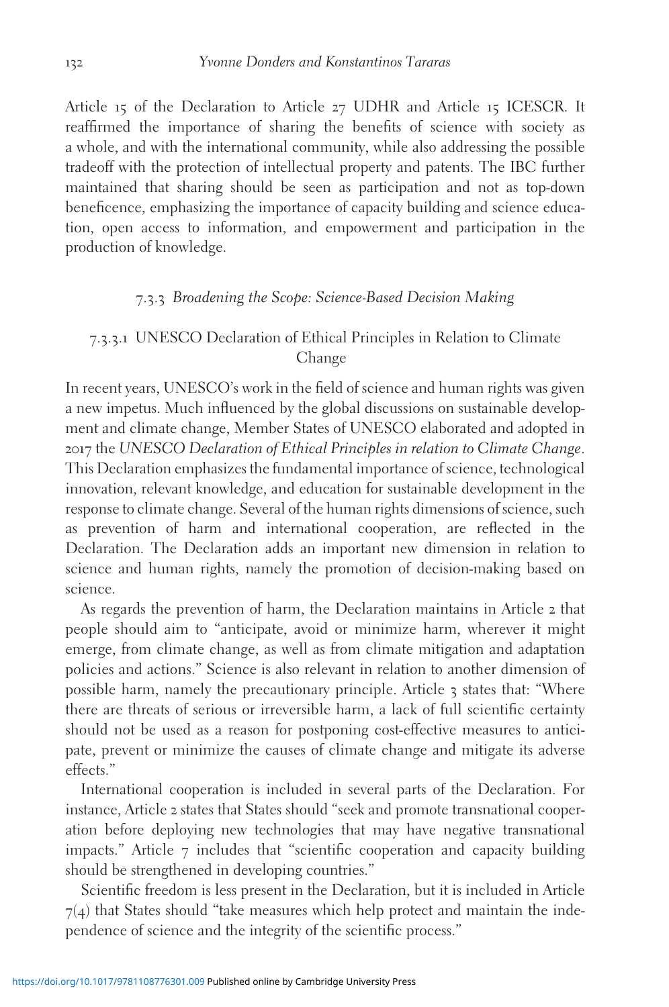Article 15 of the Declaration to Article 27 UDHR and Article 15 ICESCR. It reaffirmed the importance of sharing the benefits of science with society as a whole, and with the international community, while also addressing the possible tradeoff with the protection of intellectual property and patents. The IBC further maintained that sharing should be seen as participation and not as top-down beneficence, emphasizing the importance of capacity building and science education, open access to information, and empowerment and participation in the production of knowledge.

#### 7.3.3 Broadening the Scope: Science-Based Decision Making

#### 7.3.3.1 UNESCO Declaration of Ethical Principles in Relation to Climate Change

In recent years, UNESCO's work in the field of science and human rights was given a new impetus. Much influenced by the global discussions on sustainable development and climate change, Member States of UNESCO elaborated and adopted in 2017 the UNESCO Declaration of Ethical Principles in relation to Climate Change. This Declaration emphasizes the fundamental importance of science, technological innovation, relevant knowledge, and education for sustainable development in the response to climate change. Several of the human rights dimensions of science, such as prevention of harm and international cooperation, are reflected in the Declaration. The Declaration adds an important new dimension in relation to science and human rights, namely the promotion of decision-making based on science.

As regards the prevention of harm, the Declaration maintains in Article 2 that people should aim to "anticipate, avoid or minimize harm, wherever it might emerge, from climate change, as well as from climate mitigation and adaptation policies and actions." Science is also relevant in relation to another dimension of possible harm, namely the precautionary principle. Article 3 states that: "Where there are threats of serious or irreversible harm, a lack of full scientific certainty should not be used as a reason for postponing cost-effective measures to anticipate, prevent or minimize the causes of climate change and mitigate its adverse effects."

International cooperation is included in several parts of the Declaration. For instance, Article 2 states that States should "seek and promote transnational cooperation before deploying new technologies that may have negative transnational impacts." Article 7 includes that "scientific cooperation and capacity building should be strengthened in developing countries."

Scientific freedom is less present in the Declaration, but it is included in Article  $7(4)$  that States should "take measures which help protect and maintain the independence of science and the integrity of the scientific process."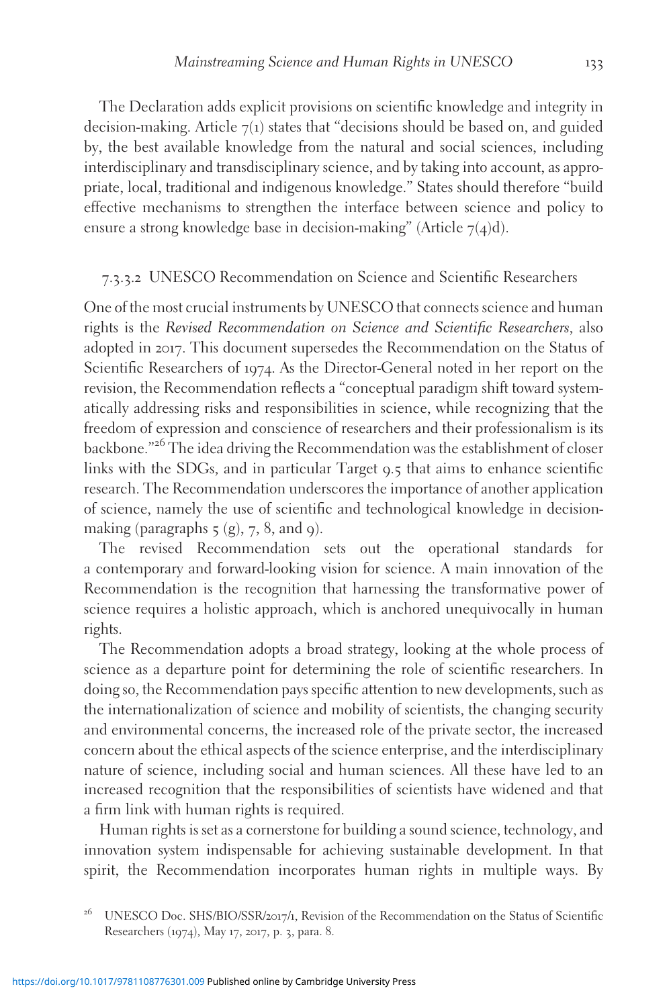The Declaration adds explicit provisions on scientific knowledge and integrity in decision-making. Article  $7(1)$  states that "decisions should be based on, and guided by, the best available knowledge from the natural and social sciences, including interdisciplinary and transdisciplinary science, and by taking into account, as appropriate, local, traditional and indigenous knowledge." States should therefore "build effective mechanisms to strengthen the interface between science and policy to ensure a strong knowledge base in decision-making" (Article  $7(4)d$ ).

#### 7.3.3.2 UNESCO Recommendation on Science and Scientific Researchers

One of the most crucial instruments by UNESCO that connects science and human rights is the Revised Recommendation on Science and Scientific Researchers, also adopted in 2017. This document supersedes the Recommendation on the Status of Scientific Researchers of 1974. As the Director-General noted in her report on the revision, the Recommendation reflects a "conceptual paradigm shift toward systematically addressing risks and responsibilities in science, while recognizing that the freedom of expression and conscience of researchers and their professionalism is its backbone."<sup>26</sup> The idea driving the Recommendation was the establishment of closer links with the SDGs, and in particular Target 9.5 that aims to enhance scientific research. The Recommendation underscores the importance of another application of science, namely the use of scientific and technological knowledge in decisionmaking (paragraphs  $5$  (g), 7, 8, and 9).

The revised Recommendation sets out the operational standards for a contemporary and forward-looking vision for science. A main innovation of the Recommendation is the recognition that harnessing the transformative power of science requires a holistic approach, which is anchored unequivocally in human rights.

The Recommendation adopts a broad strategy, looking at the whole process of science as a departure point for determining the role of scientific researchers. In doing so, the Recommendation pays specific attention to new developments, such as the internationalization of science and mobility of scientists, the changing security and environmental concerns, the increased role of the private sector, the increased concern about the ethical aspects of the science enterprise, and the interdisciplinary nature of science, including social and human sciences. All these have led to an increased recognition that the responsibilities of scientists have widened and that a firm link with human rights is required.

Human rights is set as a cornerstone for building a sound science, technology, and innovation system indispensable for achieving sustainable development. In that spirit, the Recommendation incorporates human rights in multiple ways. By

<sup>&</sup>lt;sup>26</sup> UNESCO Doc. SHS/BIO/SSR/2017/1, Revision of the Recommendation on the Status of Scientific Researchers (1974), May 17, 2017, p. 3, para. 8.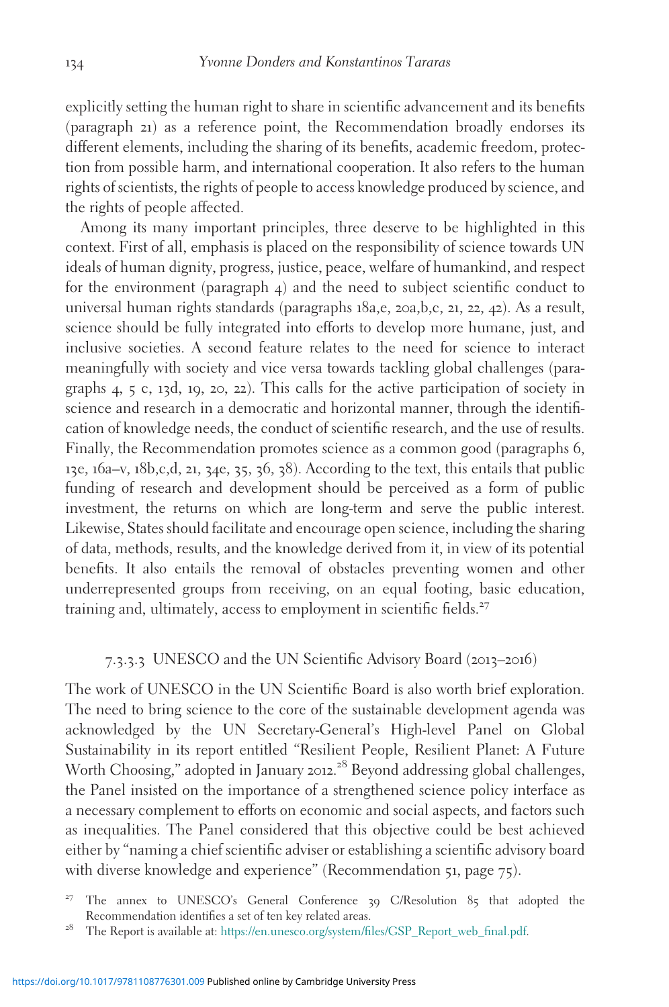explicitly setting the human right to share in scientific advancement and its benefits (paragraph 21) as a reference point, the Recommendation broadly endorses its different elements, including the sharing of its benefits, academic freedom, protection from possible harm, and international cooperation. It also refers to the human rights of scientists, the rights of people to access knowledge produced by science, and the rights of people affected.

Among its many important principles, three deserve to be highlighted in this context. First of all, emphasis is placed on the responsibility of science towards UN ideals of human dignity, progress, justice, peace, welfare of humankind, and respect for the environment (paragraph 4) and the need to subject scientific conduct to universal human rights standards (paragraphs 18a,e, 20a,b,c, 21, 22, 42). As a result, science should be fully integrated into efforts to develop more humane, just, and inclusive societies. A second feature relates to the need for science to interact meaningfully with society and vice versa towards tackling global challenges (paragraphs 4, 5 c, 13d, 19, 20, 22). This calls for the active participation of society in science and research in a democratic and horizontal manner, through the identification of knowledge needs, the conduct of scientific research, and the use of results. Finally, the Recommendation promotes science as a common good (paragraphs 6, 13e, 16a–v, 18b,c,d, 21, 34e, 35, 36, 38). According to the text, this entails that public funding of research and development should be perceived as a form of public investment, the returns on which are long-term and serve the public interest. Likewise, States should facilitate and encourage open science, including the sharing of data, methods, results, and the knowledge derived from it, in view of its potential benefits. It also entails the removal of obstacles preventing women and other underrepresented groups from receiving, on an equal footing, basic education, training and, ultimately, access to employment in scientific fields.<sup>27</sup>

#### 7.3.3.3 UNESCO and the UN Scientific Advisory Board (2013–2016)

The work of UNESCO in the UN Scientific Board is also worth brief exploration. The need to bring science to the core of the sustainable development agenda was acknowledged by the UN Secretary-General's High-level Panel on Global Sustainability in its report entitled "Resilient People, Resilient Planet: A Future Worth Choosing," adopted in January 2012. <sup>28</sup> Beyond addressing global challenges, the Panel insisted on the importance of a strengthened science policy interface as a necessary complement to efforts on economic and social aspects, and factors such as inequalities. The Panel considered that this objective could be best achieved either by "naming a chief scientific adviser or establishing a scientific advisory board with diverse knowledge and experience" (Recommendation 51, page 75).

<sup>27</sup> The annex to UNESCO's General Conference <sup>39</sup> C/Resolution <sup>85</sup> that adopted the Recommendation identifies a set of ten key related areas.<br><sup>28</sup> The Report is available at: [https://en.unesco.org/system/files/GSP\\_Report\\_web\\_final.pdf](https://en.unesco.org/system/files/GSP%5FReport%5Fweb%5Ffinal.pdf).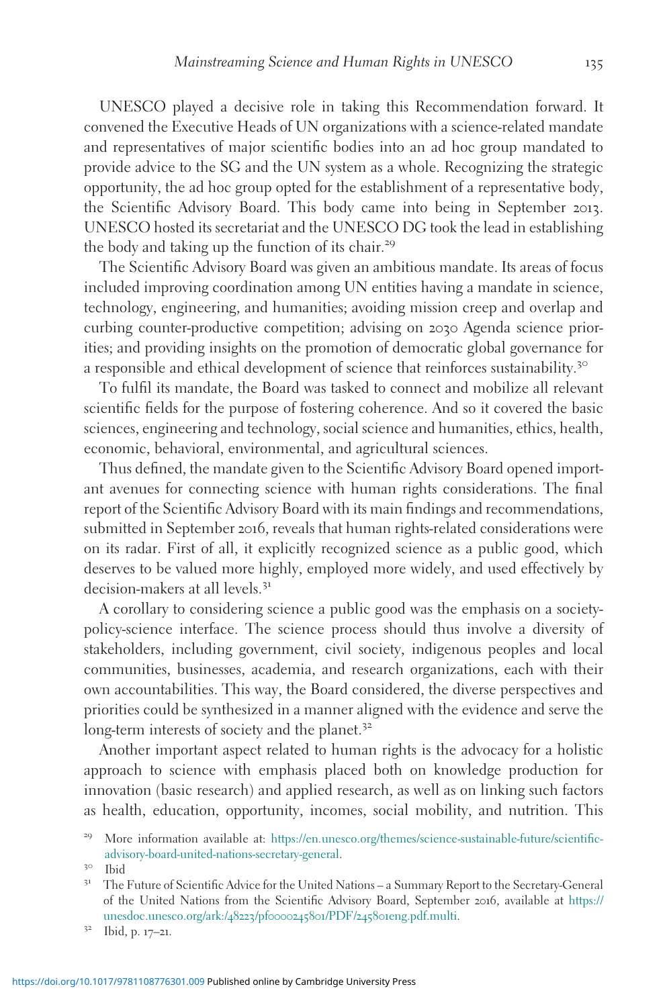UNESCO played a decisive role in taking this Recommendation forward. It convened the Executive Heads of UN organizations with a science-related mandate and representatives of major scientific bodies into an ad hoc group mandated to provide advice to the SG and the UN system as a whole. Recognizing the strategic opportunity, the ad hoc group opted for the establishment of a representative body, the Scientific Advisory Board. This body came into being in September 2013. UNESCO hosted its secretariat and the UNESCO DG took the lead in establishing the body and taking up the function of its chair.<sup>29</sup>

The Scientific Advisory Board was given an ambitious mandate. Its areas of focus included improving coordination among UN entities having a mandate in science, technology, engineering, and humanities; avoiding mission creep and overlap and curbing counter-productive competition; advising on 2030 Agenda science priorities; and providing insights on the promotion of democratic global governance for a responsible and ethical development of science that reinforces sustainability.<sup>30</sup>

To fulfil its mandate, the Board was tasked to connect and mobilize all relevant scientific fields for the purpose of fostering coherence. And so it covered the basic sciences, engineering and technology, social science and humanities, ethics, health, economic, behavioral, environmental, and agricultural sciences.

Thus defined, the mandate given to the Scientific Advisory Board opened important avenues for connecting science with human rights considerations. The final report of the Scientific Advisory Board with its main findings and recommendations, submitted in September 2016, reveals that human rights-related considerations were on its radar. First of all, it explicitly recognized science as a public good, which deserves to be valued more highly, employed more widely, and used effectively by decision-makers at all levels.<sup>31</sup>

A corollary to considering science a public good was the emphasis on a societypolicy-science interface. The science process should thus involve a diversity of stakeholders, including government, civil society, indigenous peoples and local communities, businesses, academia, and research organizations, each with their own accountabilities. This way, the Board considered, the diverse perspectives and priorities could be synthesized in a manner aligned with the evidence and serve the long-term interests of society and the planet.<sup>32</sup>

Another important aspect related to human rights is the advocacy for a holistic approach to science with emphasis placed both on knowledge production for innovation (basic research) and applied research, as well as on linking such factors as health, education, opportunity, incomes, social mobility, and nutrition. This

<sup>&</sup>lt;sup>29</sup> More information available at: [https://en.unesco.org/themes/science-sustainable-future/scientific](https://en.unesco.org/themes/science-sustainable-future/scientific-advisory-board-united-nations-secretary-general)% [advisory-board-united-nations-secretary-general.](https://en.unesco.org/themes/science-sustainable-future/scientific-advisory-board-united-nations-secretary-general) 30 Ibid 31 The Future of Scientific Advice for the United Nations – a Summary Report to the Secretary-General

of the United Nations from the Scientific Advisory Board, September 2016, available at [https://](https://unesdoc.unesco.org/ark:/48223/pf0000245801/PDF/245801eng.pdf.multi) [unesdoc.unesco.org/ark:/](https://unesdoc.unesco.org/ark:/48223/pf0000245801/PDF/245801eng.pdf.multi)48223/pf0000245801/PDF/245801eng.pdf.multi. <sup>32</sup> Ibid, p. <sup>17</sup>–21.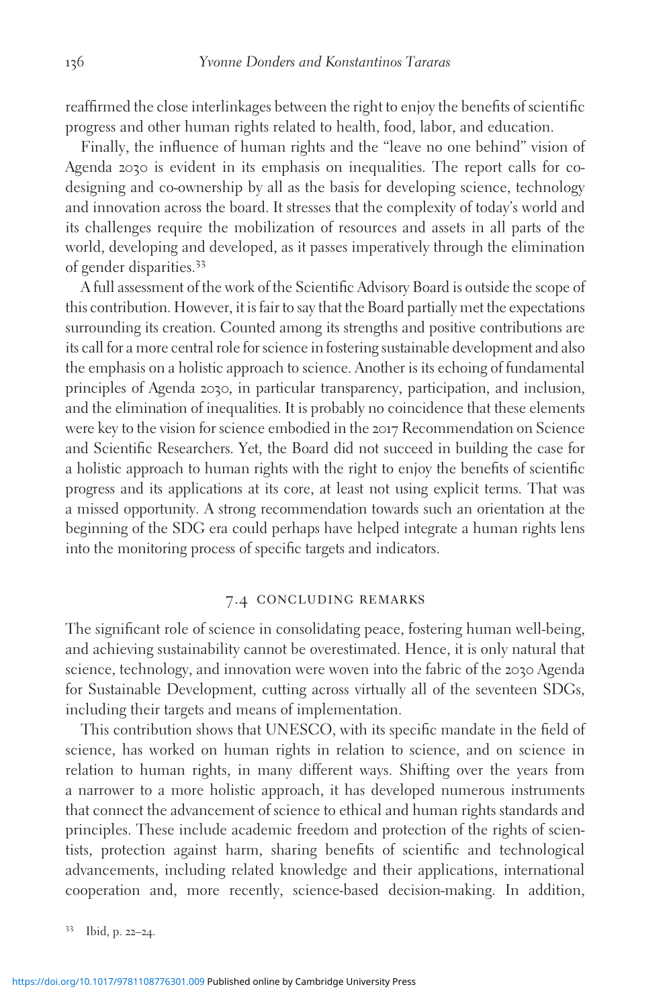reaffirmed the close interlinkages between the right to enjoy the benefits of scientific progress and other human rights related to health, food, labor, and education.

Finally, the influence of human rights and the "leave no one behind" vision of Agenda 2030 is evident in its emphasis on inequalities. The report calls for codesigning and co-ownership by all as the basis for developing science, technology and innovation across the board. It stresses that the complexity of today's world and its challenges require the mobilization of resources and assets in all parts of the world, developing and developed, as it passes imperatively through the elimination of gender disparities.<sup>33</sup>

A full assessment of the work of the Scientific Advisory Board is outside the scope of this contribution. However, it is fair to say that the Board partially met the expectations surrounding its creation. Counted among its strengths and positive contributions are its call for a more central role for science in fostering sustainable development and also the emphasis on a holistic approach to science. Another is its echoing of fundamental principles of Agenda 2030, in particular transparency, participation, and inclusion, and the elimination of inequalities. It is probably no coincidence that these elements were key to the vision for science embodied in the 2017 Recommendation on Science and Scientific Researchers. Yet, the Board did not succeed in building the case for a holistic approach to human rights with the right to enjoy the benefits of scientific progress and its applications at its core, at least not using explicit terms. That was a missed opportunity. A strong recommendation towards such an orientation at the beginning of the SDG era could perhaps have helped integrate a human rights lens into the monitoring process of specific targets and indicators.

#### 7.4 concluding remarks

The significant role of science in consolidating peace, fostering human well-being, and achieving sustainability cannot be overestimated. Hence, it is only natural that science, technology, and innovation were woven into the fabric of the 2030 Agenda for Sustainable Development, cutting across virtually all of the seventeen SDGs, including their targets and means of implementation.

This contribution shows that UNESCO, with its specific mandate in the field of science, has worked on human rights in relation to science, and on science in relation to human rights, in many different ways. Shifting over the years from a narrower to a more holistic approach, it has developed numerous instruments that connect the advancement of science to ethical and human rights standards and principles. These include academic freedom and protection of the rights of scientists, protection against harm, sharing benefits of scientific and technological advancements, including related knowledge and their applications, international cooperation and, more recently, science-based decision-making. In addition,

<sup>33</sup> Ibid, p. <sup>22</sup>–24.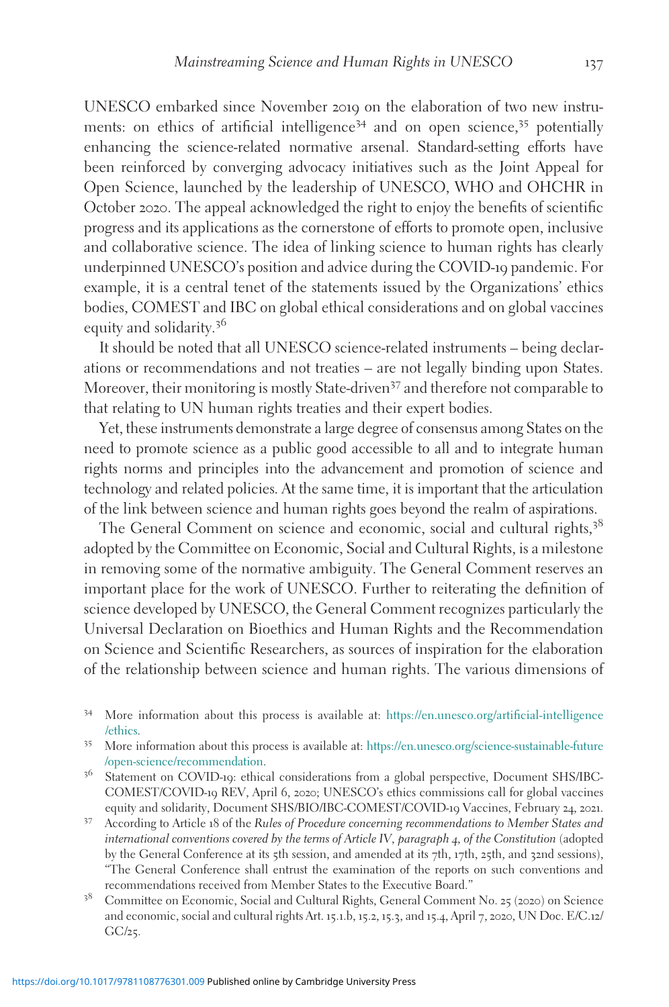UNESCO embarked since November 2019 on the elaboration of two new instruments: on ethics of artificial intelligence<sup>34</sup> and on open science,<sup>35</sup> potentially enhancing the science-related normative arsenal. Standard-setting efforts have been reinforced by converging advocacy initiatives such as the Joint Appeal for Open Science, launched by the leadership of UNESCO, WHO and OHCHR in October 2020. The appeal acknowledged the right to enjoy the benefits of scientific progress and its applications as the cornerstone of efforts to promote open, inclusive and collaborative science. The idea of linking science to human rights has clearly underpinned UNESCO's position and advice during the COVID-19 pandemic. For example, it is a central tenet of the statements issued by the Organizations' ethics bodies, COMEST and IBC on global ethical considerations and on global vaccines equity and solidarity.<sup>36</sup>

It should be noted that all UNESCO science-related instruments – being declarations or recommendations and not treaties – are not legally binding upon States. Moreover, their monitoring is mostly State-driven<sup>37</sup> and therefore not comparable to that relating to UN human rights treaties and their expert bodies.

Yet, these instruments demonstrate a large degree of consensus among States on the need to promote science as a public good accessible to all and to integrate human rights norms and principles into the advancement and promotion of science and technology and related policies. At the same time, it is important that the articulation of the link between science and human rights goes beyond the realm of aspirations.

The General Comment on science and economic, social and cultural rights,<sup>38</sup> adopted by the Committee on Economic, Social and Cultural Rights, is a milestone in removing some of the normative ambiguity. The General Comment reserves an important place for the work of UNESCO. Further to reiterating the definition of science developed by UNESCO, the General Comment recognizes particularly the Universal Declaration on Bioethics and Human Rights and the Recommendation on Science and Scientific Researchers, as sources of inspiration for the elaboration of the relationship between science and human rights. The various dimensions of

- <sup>34</sup> More information about this process is available at: [https://en.unesco.org/artificial-intelligence](https://en.unesco.org/artificial-intelligence/ethics) [/ethics.](https://en.unesco.org/artificial-intelligence/ethics) <sup>35</sup> More information about this process is available at: [https://en.unesco.org/science-sustainable-future](https://en.unesco.org/science-sustainable-future/open-science/recommendation)
- 
- [/open-science/recommendation.](https://en.unesco.org/science-sustainable-future/open-science/recommendation) <sup>36</sup> Statement on COVID-19: ethical considerations from a global perspective, Document SHS/IBC-COMEST/COVID-19 REV, April 6, 2020; UNESCO's ethics commissions call for global vaccines equity and solidarity, Document SHS/BIO/IBC-COMEST/COVID-<sup>19</sup> Vaccines, February <sup>24</sup>, <sup>2021</sup>. <sup>37</sup> According to Article <sup>18</sup> of the Rules of Procedure concerning recommendations to Member States and
- international conventions covered by the terms of Article IV, paragraph 4, of the Constitution (adopted by the General Conference at its 5th session, and amended at its 7th, 17th, 25th, and 32nd sessions), "The General Conference shall entrust the examination of the reports on such conventions and recommendations received from Member States to the Executive Board."
- <sup>38</sup> Committee on Economic, Social and Cultural Rights, General Comment No. 25 (2020) on Science and economic, social and cultural rights Art. 15.1.b, 15.2, 15.3, and 15.4, April 7, 2020, UN Doc. E/C.12/  $GC/25$ .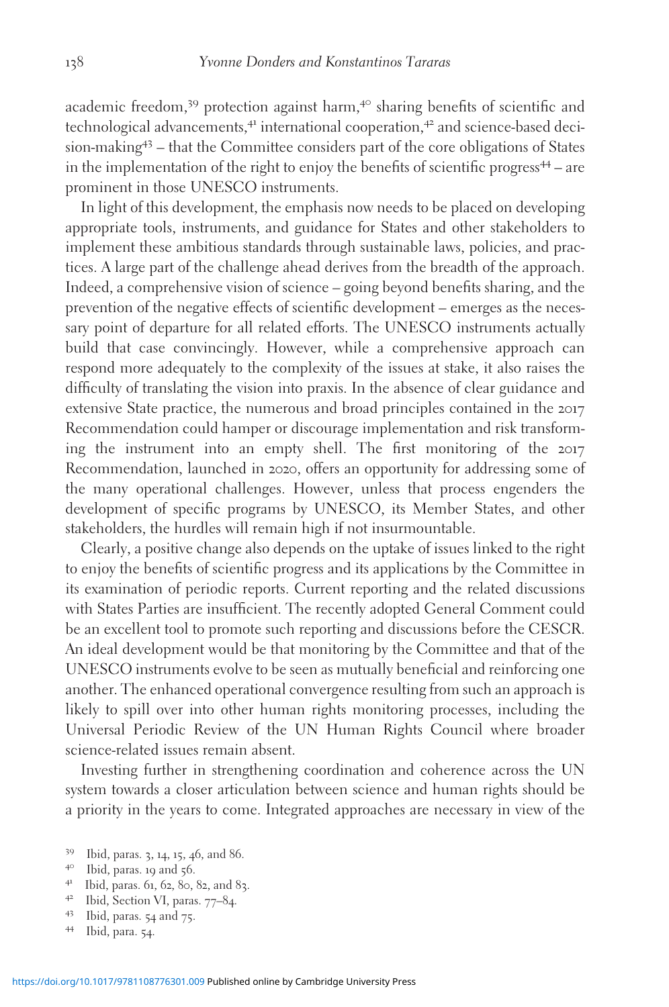academic freedom,<sup>39</sup> protection against harm,<sup>40</sup> sharing benefits of scientific and technological advancements,<sup>41</sup> international cooperation,<sup>42</sup> and science-based decision-making<sup>43</sup> – that the Committee considers part of the core obligations of States in the implementation of the right to enjoy the benefits of scientific progress $44$  – are prominent in those UNESCO instruments.

In light of this development, the emphasis now needs to be placed on developing appropriate tools, instruments, and guidance for States and other stakeholders to implement these ambitious standards through sustainable laws, policies, and practices. A large part of the challenge ahead derives from the breadth of the approach. Indeed, a comprehensive vision of science – going beyond benefits sharing, and the prevention of the negative effects of scientific development – emerges as the necessary point of departure for all related efforts. The UNESCO instruments actually build that case convincingly. However, while a comprehensive approach can respond more adequately to the complexity of the issues at stake, it also raises the difficulty of translating the vision into praxis. In the absence of clear guidance and extensive State practice, the numerous and broad principles contained in the 2017 Recommendation could hamper or discourage implementation and risk transforming the instrument into an empty shell. The first monitoring of the 2017 Recommendation, launched in 2020, offers an opportunity for addressing some of the many operational challenges. However, unless that process engenders the development of specific programs by UNESCO, its Member States, and other stakeholders, the hurdles will remain high if not insurmountable.

Clearly, a positive change also depends on the uptake of issues linked to the right to enjoy the benefits of scientific progress and its applications by the Committee in its examination of periodic reports. Current reporting and the related discussions with States Parties are insufficient. The recently adopted General Comment could be an excellent tool to promote such reporting and discussions before the CESCR. An ideal development would be that monitoring by the Committee and that of the UNESCO instruments evolve to be seen as mutually beneficial and reinforcing one another. The enhanced operational convergence resulting from such an approach is likely to spill over into other human rights monitoring processes, including the Universal Periodic Review of the UN Human Rights Council where broader science-related issues remain absent.

Investing further in strengthening coordination and coherence across the UN system towards a closer articulation between science and human rights should be a priority in the years to come. Integrated approaches are necessary in view of the

- 
- 39 Ibid, paras. 3, 14, 15, 46, and 86.<br>
4<sup>0</sup> Ibid, paras. 19 and 56.<br>
4<sup>1</sup> Ibid, paras. 61, 62, 80, 82, and 83.<br>
4<sup>2</sup> Ibid, Section VI, paras. 77–84.<br>
4<sup>3</sup> Ibid, para. 54 and 75.<br>
44 Ibid, para. 54.
- 
- 
-